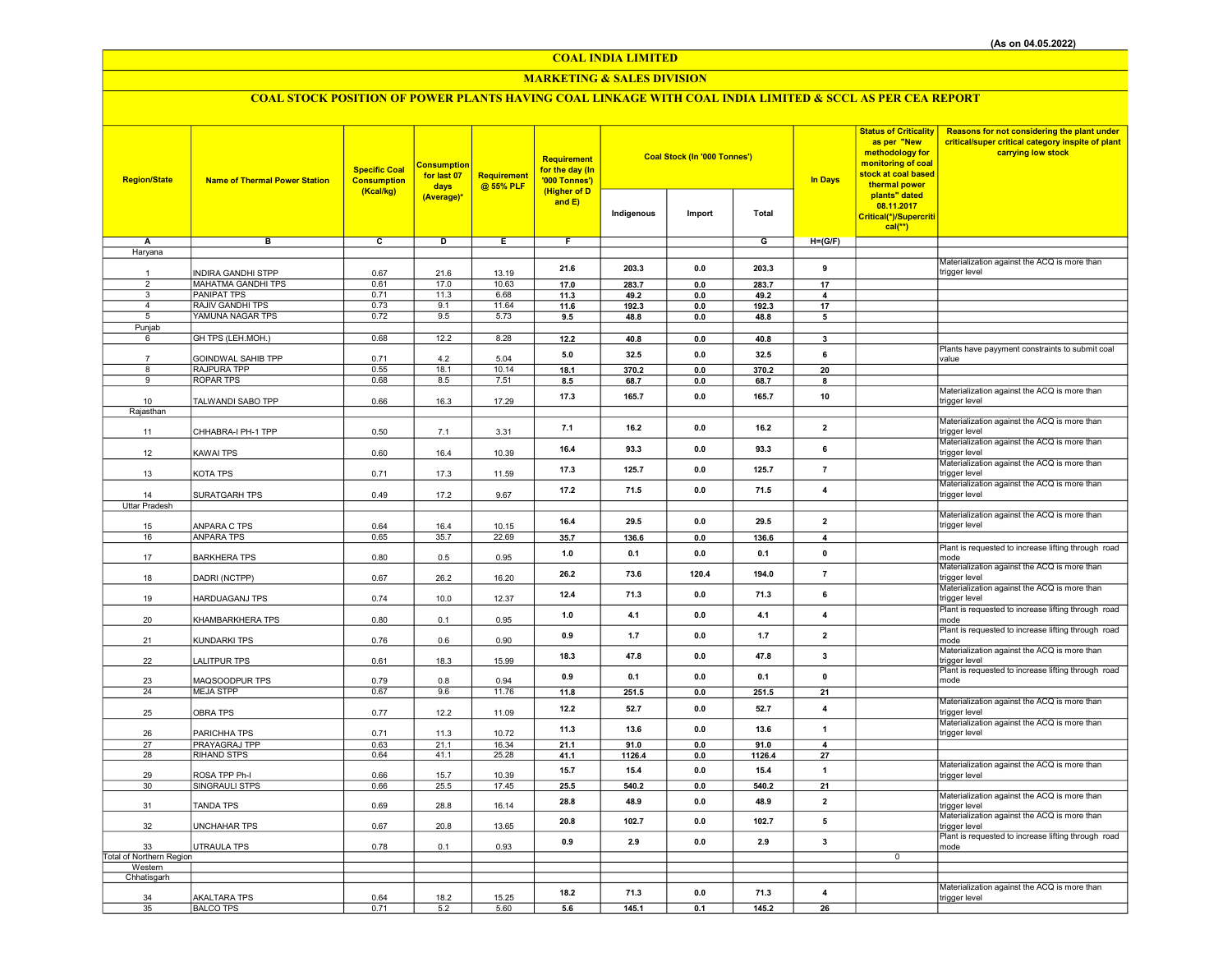## COAL INDIA LIMITED

## MARKETING & SALES DIVISION

# COAL STOCK POSITION OF POWER PLANTS HAVING COAL LINKAGE WITH COAL INDIA LIMITED & SCCL AS PER CEA REPORT

| <b>Region/State</b>      | <b>Name of Thermal Power Station</b> | <b>Specific Coal</b><br><b>Consumption</b><br>(Kcal/kg) | <u>Consumption</u><br>for last 07<br>days<br>(Average)* | <b>Requirement</b><br>@ 55% PLF | <b>Requirement</b><br>for the day (In<br>'000 Tonnes')<br>(Higher of D<br>and $E$ ) | Indigenous | Coal Stock (In '000 Tonnes')<br>Import | <b>Total</b> | <b>In Days</b>          | <b>Status of Criticality</b><br>as per "New<br>methodology for<br>monitoring of coal<br>stock at coal based<br>thermal power<br>plants" dated<br>08.11.2017<br>Critical(*)/Supercriti<br>$cal$ <sup>**</sup> ) | Reasons for not considering the plant under<br>critical/super critical category inspite of plant<br>carrying low stock |
|--------------------------|--------------------------------------|---------------------------------------------------------|---------------------------------------------------------|---------------------------------|-------------------------------------------------------------------------------------|------------|----------------------------------------|--------------|-------------------------|----------------------------------------------------------------------------------------------------------------------------------------------------------------------------------------------------------------|------------------------------------------------------------------------------------------------------------------------|
| Α                        | в                                    | c                                                       | D                                                       | $\overline{E}$                  | F                                                                                   |            |                                        | G            | $H=(G/F)$               |                                                                                                                                                                                                                |                                                                                                                        |
| Haryana                  |                                      |                                                         |                                                         |                                 |                                                                                     |            |                                        |              |                         |                                                                                                                                                                                                                |                                                                                                                        |
|                          |                                      |                                                         |                                                         |                                 |                                                                                     |            |                                        |              |                         |                                                                                                                                                                                                                | Materialization against the ACQ is more than                                                                           |
| $\overline{1}$           | INDIRA GANDHI STPP                   | 0.67                                                    | 21.6                                                    | 13.19                           | 21.6                                                                                | 203.3      | 0.0                                    | 203.3        | 9                       |                                                                                                                                                                                                                | trigger level                                                                                                          |
| $\overline{2}$           | <b>MAHATMA GANDHI TPS</b>            | 0.61                                                    | 17.0                                                    | 10.63                           | 17.0                                                                                | 283.7      | 0.0                                    | 283.7        | $\overline{17}$         |                                                                                                                                                                                                                |                                                                                                                        |
| 3                        | <b>PANIPAT TPS</b>                   | 0.71                                                    | 11.3                                                    | 6.68                            | 11.3                                                                                | 49.2       | 0.0                                    | 49.2         | 4                       |                                                                                                                                                                                                                |                                                                                                                        |
| $\overline{a}$           | <b>RAJIV GANDHI TPS</b>              | 0.73                                                    | 9.1                                                     | 11.64                           | 11.6                                                                                | 192.3      | 0.0                                    | 192.3        | 17                      |                                                                                                                                                                                                                |                                                                                                                        |
| 5                        | YAMUNA NAGAR TPS                     | 0.72                                                    | 9.5                                                     | 5.73                            | 9.5                                                                                 | 48.8       | $0.0\,$                                | 48.8         | 5                       |                                                                                                                                                                                                                |                                                                                                                        |
| Punjab                   |                                      | 0.68                                                    |                                                         | 8.28                            |                                                                                     |            |                                        |              |                         |                                                                                                                                                                                                                |                                                                                                                        |
| 6                        | GH TPS (LEH.MOH.)                    |                                                         | 12.2                                                    |                                 | 12.2                                                                                | 40.8       | 0.0                                    | 40.8         | 3                       |                                                                                                                                                                                                                | Plants have payyment constraints to submit coal                                                                        |
|                          | GOINDWAL SAHIB TPP                   | 0.71                                                    | 4.2                                                     | 5.04                            | 5.0                                                                                 | 32.5       | 0.0                                    | 32.5         | 6                       |                                                                                                                                                                                                                | value                                                                                                                  |
| 8                        | RAJPURA TPP                          | 0.55                                                    | 18.1                                                    | 10.14                           | 18.1                                                                                | 370.2      | 0.0                                    | 370.2        | 20                      |                                                                                                                                                                                                                |                                                                                                                        |
| 9                        | <b>ROPAR TPS</b>                     | 0.68                                                    | 8.5                                                     | 7.51                            | 8.5                                                                                 | 68.7       | 0.0                                    | 68.7         | 8                       |                                                                                                                                                                                                                |                                                                                                                        |
|                          |                                      |                                                         |                                                         |                                 | 17.3                                                                                | 165.7      | 0.0                                    | 165.7        | 10                      |                                                                                                                                                                                                                | Materialization against the ACQ is more than                                                                           |
| 10                       | TALWANDI SABO TPP                    | 0.66                                                    | 16.3                                                    | 17.29                           |                                                                                     |            |                                        |              |                         |                                                                                                                                                                                                                | trigger level                                                                                                          |
| Rajasthan                |                                      |                                                         |                                                         |                                 |                                                                                     |            |                                        |              |                         |                                                                                                                                                                                                                |                                                                                                                        |
|                          | CHHABRA-I PH-1 TPP                   | 0.50                                                    | 7.1                                                     | 3.31                            | 7.1                                                                                 | 16.2       | 0.0                                    | 16.2         | $\overline{2}$          |                                                                                                                                                                                                                | Materialization against the ACQ is more than<br>trigger level                                                          |
| 11                       |                                      |                                                         |                                                         |                                 |                                                                                     |            |                                        |              |                         |                                                                                                                                                                                                                | Materialization against the ACQ is more than                                                                           |
| 12                       | <b>KAWAI TPS</b>                     | 0.60                                                    | 16.4                                                    | 10.39                           | 16.4                                                                                | 93.3       | 0.0                                    | 93.3         | 6                       |                                                                                                                                                                                                                | trigger level                                                                                                          |
|                          |                                      |                                                         |                                                         |                                 |                                                                                     |            |                                        |              |                         |                                                                                                                                                                                                                | Materialization against the ACQ is more than                                                                           |
| 13                       | KOTA TPS                             | 0.71                                                    | 17.3                                                    | 11.59                           | 17.3                                                                                | 125.7      | 0.0                                    | 125.7        | $\overline{7}$          |                                                                                                                                                                                                                | trigger level                                                                                                          |
|                          |                                      |                                                         |                                                         |                                 | 17.2                                                                                | 71.5       | 0.0                                    | 71.5         | 4                       |                                                                                                                                                                                                                | Materialization against the ACQ is more than                                                                           |
| 14                       | SURATGARH TPS                        | 0.49                                                    | 17.2                                                    | 9.67                            |                                                                                     |            |                                        |              |                         |                                                                                                                                                                                                                | trigger level                                                                                                          |
| <b>Uttar Pradesh</b>     |                                      |                                                         |                                                         |                                 |                                                                                     |            |                                        |              |                         |                                                                                                                                                                                                                |                                                                                                                        |
| 15                       | ANPARA C TPS                         | 0.64                                                    | 16.4                                                    | 10.15                           | 16.4                                                                                | 29.5       | 0.0                                    | 29.5         | $\mathbf{2}$            |                                                                                                                                                                                                                | Materialization against the ACQ is more than<br>trigger level                                                          |
| 16                       | <b>ANPARA TPS</b>                    | 0.65                                                    | 35.7                                                    | 22.69                           | 35.7                                                                                | 136.6      | $0.0\,$                                | 136.6        | $\overline{4}$          |                                                                                                                                                                                                                |                                                                                                                        |
|                          |                                      |                                                         |                                                         |                                 |                                                                                     |            |                                        |              |                         |                                                                                                                                                                                                                | Plant is requested to increase lifting through road                                                                    |
| 17                       | <b>BARKHERA TPS</b>                  | 0.80                                                    | 0.5                                                     | 0.95                            | 1.0                                                                                 | 0.1        | 0.0                                    | 0.1          | $\pmb{0}$               |                                                                                                                                                                                                                | mode                                                                                                                   |
|                          |                                      |                                                         |                                                         |                                 | 26.2                                                                                | 73.6       | 120.4                                  | 194.0        | $\overline{7}$          |                                                                                                                                                                                                                | Materialization against the ACQ is more than                                                                           |
| 18                       | DADRI (NCTPP)                        | 0.67                                                    | 26.2                                                    | 16.20                           |                                                                                     |            |                                        |              |                         |                                                                                                                                                                                                                | trigger level                                                                                                          |
|                          |                                      |                                                         |                                                         |                                 | 12.4                                                                                | 71.3       | 0.0                                    | 71.3         | 6                       |                                                                                                                                                                                                                | Materialization against the ACQ is more than                                                                           |
| 19                       | HARDUAGANJ TPS                       | 0.74                                                    | 10.0                                                    | 12.37                           |                                                                                     |            |                                        |              |                         |                                                                                                                                                                                                                | trigger level                                                                                                          |
| 20                       | KHAMBARKHERA TPS                     | 0.80                                                    | 0.1                                                     | 0.95                            | 1.0                                                                                 | 4.1        | 0.0                                    | 4.1          | $\overline{\mathbf{4}}$ |                                                                                                                                                                                                                | Plant is requested to increase lifting through road<br>mode                                                            |
|                          |                                      |                                                         |                                                         |                                 |                                                                                     |            |                                        |              |                         |                                                                                                                                                                                                                | Plant is requested to increase lifting through road                                                                    |
| 21                       | KUNDARKI TPS                         | 0.76                                                    | 0.6                                                     | 0.90                            | 0.9                                                                                 | 1.7        | 0.0                                    | 1.7          | $\mathbf{2}$            |                                                                                                                                                                                                                | mode                                                                                                                   |
|                          |                                      |                                                         |                                                         |                                 | 18.3                                                                                | 47.8       | 0.0                                    | 47.8         | $\overline{\mathbf{3}}$ |                                                                                                                                                                                                                | Materialization against the ACQ is more than                                                                           |
| 22                       | LALITPUR TPS                         | 0.61                                                    | 18.3                                                    | 15.99                           |                                                                                     |            |                                        |              |                         |                                                                                                                                                                                                                | trigger level                                                                                                          |
|                          |                                      |                                                         |                                                         |                                 | 0.9                                                                                 | 0.1        | 0.0                                    | 0.1          | $\mathbf{0}$            |                                                                                                                                                                                                                | Plant is requested to increase lifting through road<br>mode                                                            |
| 23<br>24                 | MAQSOODPUR TPS<br><b>MEJA STPP</b>   | 0.79<br>0.67                                            | 0.8<br>9.6                                              | 0.94<br>11.76                   | 11.8                                                                                |            | 0.0                                    |              | 21                      |                                                                                                                                                                                                                |                                                                                                                        |
|                          |                                      |                                                         |                                                         |                                 |                                                                                     | 251.5      |                                        | 251.5        |                         |                                                                                                                                                                                                                | Materialization against the ACQ is more than                                                                           |
| 25                       | OBRA TPS                             | 0.77                                                    | 12.2                                                    | 11.09                           | 12.2                                                                                | 52.7       | 0.0                                    | 52.7         | $\overline{\mathbf{4}}$ |                                                                                                                                                                                                                | trigger level                                                                                                          |
|                          |                                      |                                                         |                                                         |                                 |                                                                                     |            |                                        |              |                         |                                                                                                                                                                                                                | Materialization against the ACQ is more than                                                                           |
| 26                       | PARICHHA TPS                         | 0.71                                                    | 11.3                                                    | 10.72                           | 11.3                                                                                | 13.6       | 0.0                                    | 13.6         | $\overline{1}$          |                                                                                                                                                                                                                | trigger level                                                                                                          |
| 27                       | PRAYAGRAJ TPP                        | 0.63                                                    | 21.1                                                    | 16.34                           | 21.1                                                                                | 91.0       | 0.0                                    | 91.0         | $\overline{\mathbf{4}}$ |                                                                                                                                                                                                                |                                                                                                                        |
| 28                       | RIHAND STPS                          | 0.64                                                    | 41.1                                                    | 25.28                           | 41.1                                                                                | 1126.4     | 0.0                                    | 1126.4       | 27                      |                                                                                                                                                                                                                |                                                                                                                        |
| 29                       |                                      |                                                         |                                                         | 10.39                           | 15.7                                                                                | 15.4       | 0.0                                    | 15.4         | $\overline{1}$          |                                                                                                                                                                                                                | Materialization against the ACQ is more than                                                                           |
| 30 <sup>°</sup>          | ROSA TPP Ph-I<br>SINGRAULI STPS      | 0.66<br>0.66                                            | 15.7<br>25.5                                            | 17.45                           | 25.5                                                                                | 540.2      | 0.0                                    | 540.2        | 21                      |                                                                                                                                                                                                                | trigger level                                                                                                          |
|                          |                                      |                                                         |                                                         |                                 |                                                                                     |            |                                        |              |                         |                                                                                                                                                                                                                | Materialization against the ACQ is more than                                                                           |
| 31                       | TANDA TPS                            | 0.69                                                    | 28.8                                                    | 16.14                           | 28.8                                                                                | 48.9       | 0.0                                    | 48.9         | $\overline{2}$          |                                                                                                                                                                                                                | trigger level                                                                                                          |
|                          |                                      |                                                         |                                                         |                                 | 20.8                                                                                | 102.7      | 0.0                                    | 102.7        | 5                       |                                                                                                                                                                                                                | Materialization against the ACQ is more than                                                                           |
| 32                       | UNCHAHAR TPS                         | 0.67                                                    | 20.8                                                    | 13.65                           |                                                                                     |            |                                        |              |                         |                                                                                                                                                                                                                | trigger level                                                                                                          |
| 33                       | UTRAULA TPS                          | 0.78                                                    | 0.1                                                     | 0.93                            | 0.9                                                                                 | 2.9        | 0.0                                    | 2.9          | $\overline{\mathbf{3}}$ |                                                                                                                                                                                                                | Plant is requested to increase lifting through road                                                                    |
| Total of Northern Region |                                      |                                                         |                                                         |                                 |                                                                                     |            |                                        |              |                         | $\overline{0}$                                                                                                                                                                                                 | mode                                                                                                                   |
| Western                  |                                      |                                                         |                                                         |                                 |                                                                                     |            |                                        |              |                         |                                                                                                                                                                                                                |                                                                                                                        |
| Chhatisgarh              |                                      |                                                         |                                                         |                                 |                                                                                     |            |                                        |              |                         |                                                                                                                                                                                                                |                                                                                                                        |
|                          |                                      |                                                         |                                                         |                                 | 18.2                                                                                | 71.3       | 0.0                                    | 71.3         | 4                       |                                                                                                                                                                                                                | Materialization against the ACQ is more than                                                                           |
| 34                       | <b>AKALTARA TPS</b>                  | 0.64                                                    | 18.2                                                    | 15.25                           |                                                                                     |            |                                        |              |                         |                                                                                                                                                                                                                | trigger level                                                                                                          |
| 35                       | <b>BALCO TPS</b>                     | 0.71                                                    | 5.2                                                     | 5.60                            | 5.6                                                                                 | 145.1      | 0.1                                    | 145.2        | 26                      |                                                                                                                                                                                                                |                                                                                                                        |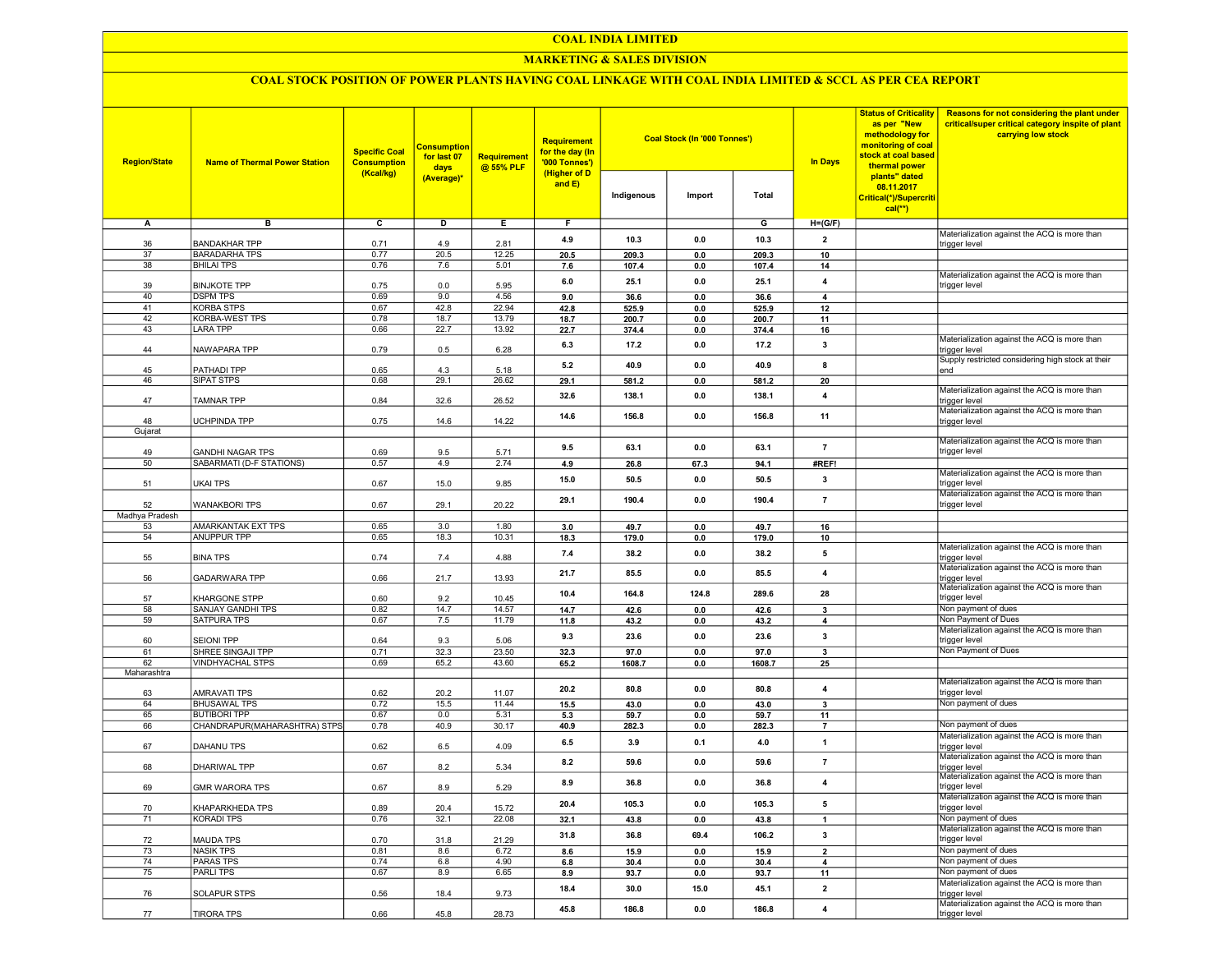#### COAL INDIA LIMITED

## MARKETING & SALES DIVISION

## COAL STOCK POSITION OF POWER PLANTS HAVING COAL LINKAGE WITH COAL INDIA LIMITED & SCCL AS PER CEA REPORT

| <b>Region/State</b>  | <b>Name of Thermal Power Station</b> | <b>Specific Coal</b><br><b>Consumption</b><br>(Kcal/kg) | <b>Consumption</b><br>for last 07<br>days<br>(Average)* | <b>Requirement</b><br>@ 55% PLF | <b>Requirement</b><br>for the day (In<br>'000 Tonnes')<br>(Higher of D<br>and E) | Indigenous    | <b>Coal Stock (In '000 Tonnes')</b><br>Import | Total         | <b>In Days</b>          | <b>Status of Criticality</b><br>as per "New<br>methodology for<br>monitoring of coal<br>stock at coal based<br>thermal power<br>plants" dated<br>08.11.2017<br>Critical(*)/Supercriti<br>$cal**$ | Reasons for not considering the plant under<br>critical/super critical category inspite of plant<br>carrying low stock |
|----------------------|--------------------------------------|---------------------------------------------------------|---------------------------------------------------------|---------------------------------|----------------------------------------------------------------------------------|---------------|-----------------------------------------------|---------------|-------------------------|--------------------------------------------------------------------------------------------------------------------------------------------------------------------------------------------------|------------------------------------------------------------------------------------------------------------------------|
| Α                    | в                                    | $\overline{c}$                                          | D                                                       | Е.                              | F.                                                                               |               |                                               | G             | $H = (G/F)$             |                                                                                                                                                                                                  |                                                                                                                        |
|                      |                                      |                                                         |                                                         |                                 |                                                                                  |               |                                               |               |                         |                                                                                                                                                                                                  | Materialization against the ACQ is more than                                                                           |
| 36                   | <b>BANDAKHAR TPP</b>                 | 0.71                                                    | 4.9                                                     | 2.81                            | 4.9                                                                              | 10.3          | 0.0                                           | 10.3          | $\overline{2}$          |                                                                                                                                                                                                  | trigger level                                                                                                          |
| 37                   | <b>BARADARHA TPS</b>                 | 0.77                                                    | 20.5                                                    | 12.25                           | 20.5                                                                             | 209.3         | 0.0                                           | 209.3         | 10                      |                                                                                                                                                                                                  |                                                                                                                        |
| 38                   | <b>BHILAI TPS</b>                    | 0.76                                                    | 7.6                                                     | 5.01                            | 7.6                                                                              | 107.4         | 0.0                                           | 107.4         | 14                      |                                                                                                                                                                                                  | Materialization against the ACQ is more than                                                                           |
| 39                   | <b>BINJKOTE TPP</b>                  | 0.75                                                    | 0.0                                                     | 5.95                            | 6.0                                                                              | 25.1          | 0.0                                           | 25.1          | 4                       |                                                                                                                                                                                                  | trigger level                                                                                                          |
| 40                   | <b>DSPM TPS</b>                      | 0.69                                                    | 9.0                                                     | 4.56                            | 9.0                                                                              | 36.6          | 0.0                                           | 36.6          | $\overline{4}$          |                                                                                                                                                                                                  |                                                                                                                        |
| 41                   | <b>KORBA STPS</b>                    | 0.67                                                    | 42.8                                                    | 22.94                           | 42.8                                                                             | 525.9         | 0.0                                           | 525.9         | 12                      |                                                                                                                                                                                                  |                                                                                                                        |
| 42                   | KORBA-WEST TPS                       | 0.78                                                    | 18.7                                                    | 13.79                           | 18.7                                                                             | 200.7         | 0.0                                           | 200.7         | 11                      |                                                                                                                                                                                                  |                                                                                                                        |
| 43                   | LARA TPP                             | 0.66                                                    | 22.7                                                    | 13.92                           | 22.7                                                                             | 374.4         | 0.0                                           | 374.4         | 16                      |                                                                                                                                                                                                  |                                                                                                                        |
|                      |                                      |                                                         |                                                         |                                 | 6.3                                                                              | 17.2          | 0.0                                           | 17.2          | $\overline{\mathbf{3}}$ |                                                                                                                                                                                                  | Materialization against the ACQ is more than                                                                           |
| 44                   | NAWAPARA TPP                         | 0.79                                                    | 0.5                                                     | 6.28                            |                                                                                  |               |                                               |               |                         |                                                                                                                                                                                                  | trigger level                                                                                                          |
| 45                   | PATHADI TPP                          | 0.65                                                    | 4.3                                                     | 5.18                            | 5.2                                                                              | 40.9          | 0.0                                           | 40.9          | 8                       |                                                                                                                                                                                                  | Supply restricted considering high stock at their<br>end                                                               |
| 46                   | SIPAT STPS                           | 0.68                                                    | 29.1                                                    | 26.62                           | 29.1                                                                             | 581.2         | 0.0                                           | 581.2         | 20                      |                                                                                                                                                                                                  |                                                                                                                        |
|                      |                                      |                                                         |                                                         |                                 |                                                                                  |               | 0.0                                           | 138.1         | $\overline{4}$          |                                                                                                                                                                                                  | Materialization against the ACQ is more than                                                                           |
| 47                   | TAMNAR TPP                           | 0.84                                                    | 32.6                                                    | 26.52                           | 32.6                                                                             | 138.1         |                                               |               |                         |                                                                                                                                                                                                  | trigger level                                                                                                          |
|                      |                                      |                                                         |                                                         |                                 | 14.6                                                                             | 156.8         | 0.0                                           | 156.8         | 11                      |                                                                                                                                                                                                  | Materialization against the ACQ is more than                                                                           |
| 48<br>Gujarat        | UCHPINDA TPP                         | 0.75                                                    | 14.6                                                    | 14.22                           |                                                                                  |               |                                               |               |                         |                                                                                                                                                                                                  | trigger level                                                                                                          |
|                      |                                      |                                                         |                                                         |                                 |                                                                                  |               |                                               |               |                         |                                                                                                                                                                                                  | Materialization against the ACQ is more than                                                                           |
| 49                   | <b>GANDHI NAGAR TPS</b>              | 0.69                                                    | 9.5                                                     | 5.71                            | 9.5                                                                              | 63.1          | 0.0                                           | 63.1          | $\overline{7}$          |                                                                                                                                                                                                  | trigger level                                                                                                          |
| 50                   | SABARMATI (D-F STATIONS)             | 0.57                                                    | 4.9                                                     | 2.74                            | 4.9                                                                              | 26.8          | 67.3                                          | 94.1          | #REF!                   |                                                                                                                                                                                                  |                                                                                                                        |
|                      |                                      |                                                         |                                                         |                                 | 15.0                                                                             | 50.5          | 0.0                                           | 50.5          | $\mathbf{3}$            |                                                                                                                                                                                                  | Materialization against the ACQ is more than                                                                           |
| 51                   | UKAI TPS                             | 0.67                                                    | 15.0                                                    | 9.85                            |                                                                                  |               |                                               |               |                         |                                                                                                                                                                                                  | trigger level                                                                                                          |
|                      |                                      |                                                         |                                                         |                                 | 29.1                                                                             | 190.4         | 0.0                                           | 190.4         | $\overline{7}$          |                                                                                                                                                                                                  | Materialization against the ACQ is more than                                                                           |
| 52<br>Madhya Pradesh | <b>WANAKBORI TPS</b>                 | 0.67                                                    | 29.1                                                    | 20.22                           |                                                                                  |               |                                               |               |                         |                                                                                                                                                                                                  | trigger level                                                                                                          |
|                      | AMARKANTAK EXT TPS                   |                                                         | 3.0                                                     | 1.80                            |                                                                                  |               |                                               |               |                         |                                                                                                                                                                                                  |                                                                                                                        |
| 53<br>54             | <b>ANUPPUR TPP</b>                   | 0.65<br>0.65                                            | 18.3                                                    | 10.31                           | 3.0<br>18.3                                                                      | 49.7<br>179.0 | 0.0<br>0.0                                    | 49.7<br>179.0 | 16<br>10                |                                                                                                                                                                                                  |                                                                                                                        |
|                      |                                      |                                                         |                                                         |                                 |                                                                                  |               |                                               |               |                         |                                                                                                                                                                                                  | Materialization against the ACQ is more than                                                                           |
| 55                   | <b>BINA TPS</b>                      | 0.74                                                    | 7.4                                                     | 4.88                            | 7.4                                                                              | 38.2          | 0.0                                           | 38.2          | 5                       |                                                                                                                                                                                                  | trigger level                                                                                                          |
|                      |                                      |                                                         |                                                         |                                 | 21.7                                                                             | 85.5          | 0.0                                           | 85.5          | $\overline{4}$          |                                                                                                                                                                                                  | Materialization against the ACQ is more than                                                                           |
| 56                   | GADARWARA TPP                        | 0.66                                                    | 21.7                                                    | 13.93                           |                                                                                  |               |                                               |               |                         |                                                                                                                                                                                                  | trigger level                                                                                                          |
|                      |                                      | 0.60                                                    | 9.2                                                     |                                 | 10.4                                                                             | 164.8         | 124.8                                         | 289.6         | 28                      |                                                                                                                                                                                                  | Materialization against the ACQ is more than<br>trigger level                                                          |
| 57<br>58             | KHARGONE STPP<br>SANJAY GANDHI TPS   | 0.82                                                    | 14.7                                                    | 10.45<br>14.57                  | 14.7                                                                             | 42.6          | 0.0                                           | 42.6          | $\overline{\mathbf{3}}$ |                                                                                                                                                                                                  | Non payment of dues                                                                                                    |
| 59                   | SATPURA TPS                          | 0.67                                                    | 7.5                                                     | 11.79                           | 11.8                                                                             | 43.2          | 0.0                                           | 43.2          | 4                       |                                                                                                                                                                                                  | Non Payment of Dues                                                                                                    |
|                      |                                      |                                                         |                                                         |                                 |                                                                                  |               |                                               |               |                         |                                                                                                                                                                                                  | Materialization against the ACQ is more than                                                                           |
| 60                   | <b>SEIONI TPP</b>                    | 0.64                                                    | 9.3                                                     | 5.06                            | 9.3                                                                              | 23.6          | 0.0                                           | 23.6          | 3                       |                                                                                                                                                                                                  | trigger level                                                                                                          |
| 61                   | SHREE SINGAJI TPP                    | 0.71                                                    | 32.3                                                    | 23.50                           | 32.3                                                                             | 97.0          | 0.0                                           | 97.0          | 3                       |                                                                                                                                                                                                  | Non Payment of Dues                                                                                                    |
| 62                   | VINDHYACHAL STPS                     | 0.69                                                    | 65.2                                                    | 43.60                           | 65.2                                                                             | 1608.7        | 0.0                                           | 1608.7        | 25                      |                                                                                                                                                                                                  |                                                                                                                        |
| Maharashtra          |                                      |                                                         |                                                         |                                 |                                                                                  |               |                                               |               |                         |                                                                                                                                                                                                  |                                                                                                                        |
| 63                   | AMRAVATI TPS                         | 0.62                                                    | 20.2                                                    | 11.07                           | 20.2                                                                             | 80.8          | 0.0                                           | 80.8          | $\overline{4}$          |                                                                                                                                                                                                  | Materialization against the ACQ is more than<br>trigger level                                                          |
| 64                   | <b>BHUSAWAL TPS</b>                  | 0.72                                                    | 15.5                                                    | 11.44                           | 15.5                                                                             | 43.0          | 0.0                                           | 43.0          | $\mathbf{3}$            |                                                                                                                                                                                                  | Non payment of dues                                                                                                    |
| 65                   | <b>BUTIBORI TPP</b>                  | 0.67                                                    | 0.0                                                     | 5.31                            | 5.3                                                                              | 59.7          | 0.0                                           | 59.7          | 11                      |                                                                                                                                                                                                  |                                                                                                                        |
| 66                   | CHANDRAPUR(MAHARASHTRA) STPS         | 0.78                                                    | 40.9                                                    | 30.17                           | 40.9                                                                             | 282.3         | 0.0                                           | 282.3         | $\overline{7}$          |                                                                                                                                                                                                  | Non payment of dues                                                                                                    |
|                      |                                      |                                                         |                                                         |                                 | 6.5                                                                              | 3.9           | 0.1                                           | 4.0           | $\mathbf{1}$            |                                                                                                                                                                                                  | Materialization against the ACQ is more than                                                                           |
| 67                   | <b>DAHANU TPS</b>                    | 0.62                                                    | 6.5                                                     | 4.09                            |                                                                                  |               |                                               |               |                         |                                                                                                                                                                                                  | trigger level                                                                                                          |
|                      |                                      |                                                         |                                                         |                                 | 8.2                                                                              | 59.6          | 0.0                                           | 59.6          | $\overline{7}$          |                                                                                                                                                                                                  | Materialization against the ACQ is more than                                                                           |
| 68                   | DHARIWAL TPP                         | 0.67                                                    | 8.2                                                     | 5.34                            |                                                                                  |               |                                               |               |                         |                                                                                                                                                                                                  | trigger level<br>Materialization against the ACQ is more than                                                          |
| 69                   | GMR WARORA TPS                       | 0.67                                                    | 8.9                                                     | 5.29                            | 8.9                                                                              | 36.8          | 0.0                                           | 36.8          | $\overline{\mathbf{4}}$ |                                                                                                                                                                                                  | trigger level                                                                                                          |
|                      |                                      |                                                         |                                                         |                                 |                                                                                  |               |                                               |               |                         |                                                                                                                                                                                                  | Materialization against the ACQ is more than                                                                           |
| 70                   | KHAPARKHEDA TPS                      | 0.89                                                    | 20.4                                                    | 15.72                           | 20.4                                                                             | 105.3         | 0.0                                           | 105.3         | 5                       |                                                                                                                                                                                                  | trigger level                                                                                                          |
| 71                   | KORADI TPS                           | 0.76                                                    | 32.1                                                    | 22.08                           | 32.1                                                                             | 43.8          | 0.0                                           | 43.8          | $\mathbf{1}$            |                                                                                                                                                                                                  | Non payment of dues                                                                                                    |
|                      |                                      |                                                         |                                                         |                                 | 31.8                                                                             | 36.8          | 69.4                                          | 106.2         | $\mathbf{3}$            |                                                                                                                                                                                                  | Materialization against the ACQ is more than                                                                           |
| 72                   | MAUDA TPS                            | 0.70                                                    | 31.8                                                    | 21.29                           |                                                                                  |               |                                               |               |                         |                                                                                                                                                                                                  | trigger level                                                                                                          |
| 73                   | <b>NASIK TPS</b><br><b>PARAS TPS</b> | 0.81                                                    | 8.6                                                     | 6.72                            | 8.6                                                                              | 15.9          | 0.0                                           | 15.9          | $\overline{2}$          |                                                                                                                                                                                                  | Non payment of dues<br>Non payment of dues                                                                             |
| 74                   | <b>PARLITPS</b>                      | 0.74<br>0.67                                            | 6.8                                                     | 4.90                            | 6.8                                                                              | 30.4          | 0.0                                           | 30.4          | $\overline{\mathbf{4}}$ |                                                                                                                                                                                                  | Non payment of dues                                                                                                    |
| 75                   |                                      |                                                         | 8.9                                                     | 6.65                            | 8.9                                                                              | 93.7          | 0.0                                           | 93.7          | 11                      |                                                                                                                                                                                                  | Materialization against the ACQ is more than                                                                           |
| 76                   | <b>SOLAPUR STPS</b>                  | 0.56                                                    | 18.4                                                    | 9.73                            | 18.4                                                                             | 30.0          | 15.0                                          | 45.1          | $\overline{2}$          |                                                                                                                                                                                                  | trigger level                                                                                                          |
|                      |                                      |                                                         |                                                         |                                 |                                                                                  |               |                                               |               |                         |                                                                                                                                                                                                  | Materialization against the ACQ is more than                                                                           |
| 77                   | <b>TIRORA TPS</b>                    | 0.66                                                    | 45.8                                                    | 28.73                           | 45.8                                                                             | 186.8         | 0.0                                           | 186.8         | $\overline{\mathbf{4}}$ |                                                                                                                                                                                                  | trigger level                                                                                                          |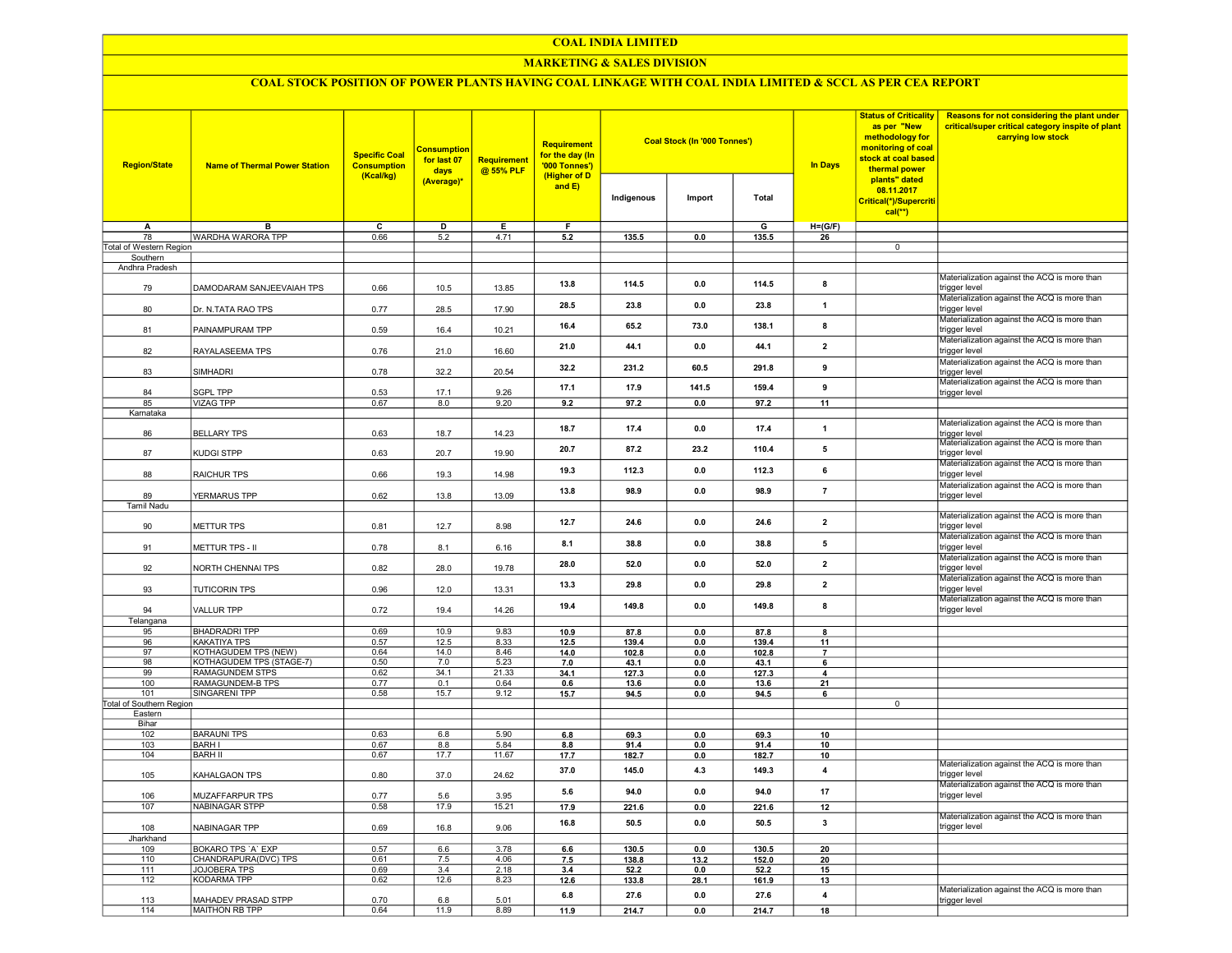#### COAL INDIA LIMITED

## MARKETING & SALES DIVISION

# COAL STOCK POSITION OF POWER PLANTS HAVING COAL LINKAGE WITH COAL INDIA LIMITED & SCCL AS PER CEA REPORT

| <b>Region/State</b>           | <b>Name of Thermal Power Station</b>       | <b>Specific Coal</b><br><b>Consumption</b><br>(Kcal/kg) | <b>Consumption</b><br>for last 07<br>days | <b>Requirement</b><br>@ 55% PLF | Requirement<br>for the day (In<br><b>'000 Tonnes')</b><br>(Higher of D |               | <b>Coal Stock (In '000 Tonnes')</b> |               | <b>In Days</b>          | <b>Status of Criticality</b><br>as per "New<br>methodology for<br>monitoring of coal<br>stock at coal based<br>thermal power | Reasons for not considering the plant under<br>critical/super critical category inspite of plant<br>carrying low stock |
|-------------------------------|--------------------------------------------|---------------------------------------------------------|-------------------------------------------|---------------------------------|------------------------------------------------------------------------|---------------|-------------------------------------|---------------|-------------------------|------------------------------------------------------------------------------------------------------------------------------|------------------------------------------------------------------------------------------------------------------------|
|                               |                                            |                                                         | (Average)*                                |                                 | and $E$ )                                                              | Indigenous    | Import                              | Total         |                         | plants" dated<br>08.11.2017<br>Critical(*)/Supercriti<br>$cal(**)$                                                           |                                                                                                                        |
| A                             | B                                          | $\overline{\mathsf{c}}$                                 | D                                         | Е                               | F                                                                      |               |                                     | G             | $H=(G/F)$               |                                                                                                                              |                                                                                                                        |
| 78<br>Total of Western Region | WARDHA WARORA TPP                          | 0.66                                                    | 5.2                                       | 4.71                            | 5.2                                                                    | 135.5         | 0.0                                 | 135.5         | 26                      | $\overline{0}$                                                                                                               |                                                                                                                        |
| Southern                      |                                            |                                                         |                                           |                                 |                                                                        |               |                                     |               |                         |                                                                                                                              |                                                                                                                        |
| Andhra Pradesh                |                                            |                                                         |                                           |                                 |                                                                        |               |                                     |               |                         |                                                                                                                              |                                                                                                                        |
| 79                            | DAMODARAM SANJEEVAIAH TPS                  | 0.66                                                    | 10.5                                      | 13.85                           | 13.8                                                                   | 114.5         | 0.0                                 | 114.5         | 8                       |                                                                                                                              | Materialization against the ACQ is more than<br>trigger level                                                          |
| 80                            | Dr. N.TATA RAO TPS                         | 0.77                                                    | 28.5                                      | 17.90                           | 28.5                                                                   | 23.8          | 0.0                                 | 23.8          | $\mathbf{1}$            |                                                                                                                              | Materialization against the ACQ is more than<br>trigger level                                                          |
| 81                            | PAINAMPURAM TPP                            | 0.59                                                    | 16.4                                      | 10.21                           | 16.4                                                                   | 65.2          | 73.0                                | 138.1         | 8                       |                                                                                                                              | Materialization against the ACQ is more than<br>trigger level                                                          |
| 82                            | RAYALASEEMA TPS                            | 0.76                                                    | 21.0                                      | 16.60                           | 21.0                                                                   | 44.1          | 0.0                                 | 44.1          | $\overline{\mathbf{2}}$ |                                                                                                                              | Materialization against the ACQ is more than<br>trigger level                                                          |
| 83                            | <b>SIMHADRI</b>                            | 0.78                                                    | 32.2                                      | 20.54                           | 32.2                                                                   | 231.2         | 60.5                                | 291.8         | 9                       |                                                                                                                              | Materialization against the ACQ is more than<br>trigger level<br>Materialization against the ACQ is more than          |
| 84                            | SGPL TPP                                   | 0.53                                                    | 17.1                                      | 9.26                            | 17.1                                                                   | 17.9          | 141.5                               | 159.4         | 9                       |                                                                                                                              | trigger level                                                                                                          |
| 85                            | <b>VIZAG TPP</b>                           | 0.67                                                    | 8.0                                       | 9.20                            | 9.2                                                                    | 97.2          | 0.0                                 | 97.2          | 11                      |                                                                                                                              |                                                                                                                        |
| Karnataka                     |                                            |                                                         |                                           |                                 |                                                                        |               |                                     |               |                         |                                                                                                                              | Materialization against the ACQ is more than                                                                           |
| 86                            | <b>BELLARY TPS</b>                         | 0.63                                                    | 18.7                                      | 14.23                           | 18.7                                                                   | 17.4          | 0.0                                 | 17.4          | 1                       |                                                                                                                              | trigger level<br>Materialization against the ACQ is more than                                                          |
| 87                            | KUDGI STPP                                 | 0.63                                                    | 20.7                                      | 19.90                           | 20.7                                                                   | 87.2          | 23.2                                | 110.4         | 5                       |                                                                                                                              | trigger level<br>Materialization against the ACQ is more than                                                          |
| 88                            | RAICHUR TPS                                | 0.66                                                    | 19.3                                      | 14.98                           | 19.3                                                                   | 112.3         | 0.0                                 | 112.3         | 6                       |                                                                                                                              | trigger level<br>Materialization against the ACQ is more than                                                          |
| 89<br><b>Tamil Nadu</b>       | YERMARUS TPP                               | 0.62                                                    | 13.8                                      | 13.09                           | 13.8                                                                   | 98.9          | 0.0                                 | 98.9          | $\overline{7}$          |                                                                                                                              | trigger level                                                                                                          |
| 90                            | <b>METTUR TPS</b>                          | 0.81                                                    | 12.7                                      | 8.98                            | 12.7                                                                   | 24.6          | 0.0                                 | 24.6          | $\mathbf{2}$            |                                                                                                                              | Materialization against the ACQ is more than<br>trigger level                                                          |
| 91                            | METTUR TPS - II                            | 0.78                                                    | 8.1                                       | 6.16                            | 8.1                                                                    | 38.8          | 0.0                                 | 38.8          | 5                       |                                                                                                                              | Materialization against the ACQ is more than<br>trigger level                                                          |
| 92                            | NORTH CHENNAI TPS                          | 0.82                                                    | 28.0                                      | 19.78                           | 28.0                                                                   | 52.0          | 0.0                                 | 52.0          | $\mathbf{2}$            |                                                                                                                              | Materialization against the ACQ is more than<br>trigger level                                                          |
| 93                            | <b>TUTICORIN TPS</b>                       | 0.96                                                    | 12.0                                      | 13.31                           | 13.3                                                                   | 29.8          | 0.0                                 | 29.8          | $\mathbf{2}$            |                                                                                                                              | Materialization against the ACQ is more than<br>trigger level                                                          |
| 94                            | <b>VALLUR TPP</b>                          | 0.72                                                    | 19.4                                      | 14.26                           | 19.4                                                                   | 149.8         | 0.0                                 | 149.8         | 8                       |                                                                                                                              | Materialization against the ACQ is more than<br>trigger level                                                          |
| Telangana<br>95               | <b>BHADRADRI TPP</b>                       | 0.69                                                    | 10.9                                      | 9.83                            | 10.9                                                                   | 87.8          | 0.0                                 | 87.8          | $\mathbf{a}$            |                                                                                                                              |                                                                                                                        |
| 96                            | KAKATIYA TPS                               | 0.57                                                    | 12.5                                      | 8.33                            | 12.5                                                                   | 139.4         | 0.0                                 | 139.4         | 11                      |                                                                                                                              |                                                                                                                        |
| 97                            | <b>KOTHAGUDEM TPS (NEW)</b>                | 0.64                                                    | 14.0                                      | 8.46                            | 14.0                                                                   | 102.8         | 0.0                                 | 102.8         | $\overline{7}$          |                                                                                                                              |                                                                                                                        |
| 98                            | KOTHAGUDEM TPS (STAGE-7)                   | 0.50                                                    | 7.0                                       | 5.23                            | 7.0                                                                    | 43.1          | 0.0                                 | 43.1          | 6                       |                                                                                                                              |                                                                                                                        |
| 99                            | <b>RAMAGUNDEM STPS</b>                     | 0.62                                                    | 34.1                                      | 21.33                           | 34.1                                                                   | 127.3         | 0.0                                 | 127.3         | 4                       |                                                                                                                              |                                                                                                                        |
| 100                           | RAMAGUNDEM-B TPS                           | 0.77                                                    | 0.1                                       | 0.64                            | 0.6                                                                    | 13.6          | 0.0                                 | 13.6          | 21                      |                                                                                                                              |                                                                                                                        |
| 101                           | <b>SINGARENI TPP</b>                       | 0.58                                                    | 15.7                                      | 9.12                            | 15.7                                                                   | 94.5          | 0.0                                 | 94.5          | 6                       |                                                                                                                              |                                                                                                                        |
| Total of Southern Region      |                                            |                                                         |                                           |                                 |                                                                        |               |                                     |               |                         | $\overline{0}$                                                                                                               |                                                                                                                        |
| Eastern<br>Bihar              |                                            |                                                         |                                           |                                 |                                                                        |               |                                     |               |                         |                                                                                                                              |                                                                                                                        |
| 102                           | <b>BARAUNI TPS</b>                         | 0.63                                                    | 6.8                                       | 5.90                            | 6.8                                                                    | 69.3          | 0.0                                 | 69.3          | 10                      |                                                                                                                              |                                                                                                                        |
| 103                           | <b>BARH I</b>                              | 0.67                                                    | 8.8                                       | 5.84                            | 8.8                                                                    | 91.4          | 0.0                                 | 91.4          | 10                      |                                                                                                                              |                                                                                                                        |
| 104                           | <b>BARH II</b>                             | 0.67                                                    | 17.7                                      | 11.67                           | 17.7                                                                   | 182.7         | 0.0                                 | 182.7         | 10                      |                                                                                                                              |                                                                                                                        |
| 105                           | KAHALGAON TPS                              | 0.80                                                    | 37.0                                      | 24.62                           | 37.0                                                                   | 145.0         | 4.3                                 | 149.3         | $\overline{\mathbf{4}}$ |                                                                                                                              | Materialization against the ACQ is more than<br>trigger level                                                          |
| 106                           | MUZAFFARPUR TPS                            | 0.77                                                    | 5.6                                       | 3.95                            | 5.6                                                                    | 94.0          | 0.0                                 | 94.0          | 17                      |                                                                                                                              | Materialization against the ACQ is more than<br>trigger level                                                          |
| 107                           | <b>NABINAGAR STPP</b>                      | 0.58                                                    | 17.9                                      | 15.21                           | 17.9                                                                   | 221.6         | 0.0                                 | 221.6         | 12                      |                                                                                                                              |                                                                                                                        |
| 108                           | NABINAGAR TPP                              | 0.69                                                    | 16.8                                      | 9.06                            | 16.8                                                                   | 50.5          | 0.0                                 | 50.5          | $\mathbf{3}$            |                                                                                                                              | Materialization against the ACQ is more than<br>trigger level                                                          |
| Jharkhand                     |                                            | 0.57                                                    |                                           | 3.78                            |                                                                        |               |                                     |               |                         |                                                                                                                              |                                                                                                                        |
| 109<br>110                    | BOKARO TPS 'A' EXP<br>CHANDRAPURA(DVC) TPS | 0.61                                                    | 6.6<br>7.5                                | 4.06                            | 6.6                                                                    | 130.5         | 0 <sub>0</sub>                      | 130.5         | 20<br>20                |                                                                                                                              |                                                                                                                        |
| 111                           | <b>JOJOBERA TPS</b>                        | 0.69                                                    | 3.4                                       | 2.18                            | 7.5                                                                    | 138.8         | 13.2<br>0.0                         | 152.0<br>52.2 | 15                      |                                                                                                                              |                                                                                                                        |
| 112                           | <b>KODARMA TPP</b>                         | 0.62                                                    | 12.6                                      | 8.23                            | 3.4<br>12.6                                                            | 52.2<br>133.8 | 28.1                                | 161.9         | 13                      |                                                                                                                              |                                                                                                                        |
| 113                           | MAHADEV PRASAD STPP                        | 0.70                                                    | 6.8                                       | 5.01                            | $6.8\,$                                                                | 27.6          | 0.0                                 | 27.6          | 4                       |                                                                                                                              | Materialization against the ACQ is more than<br>trigger level                                                          |
| 114                           | MAITHON RB TPP                             | 0.64                                                    | 11.9                                      | 8.89                            | 11.9                                                                   | 214.7         | 0.0                                 | 214.7         | 18                      |                                                                                                                              |                                                                                                                        |